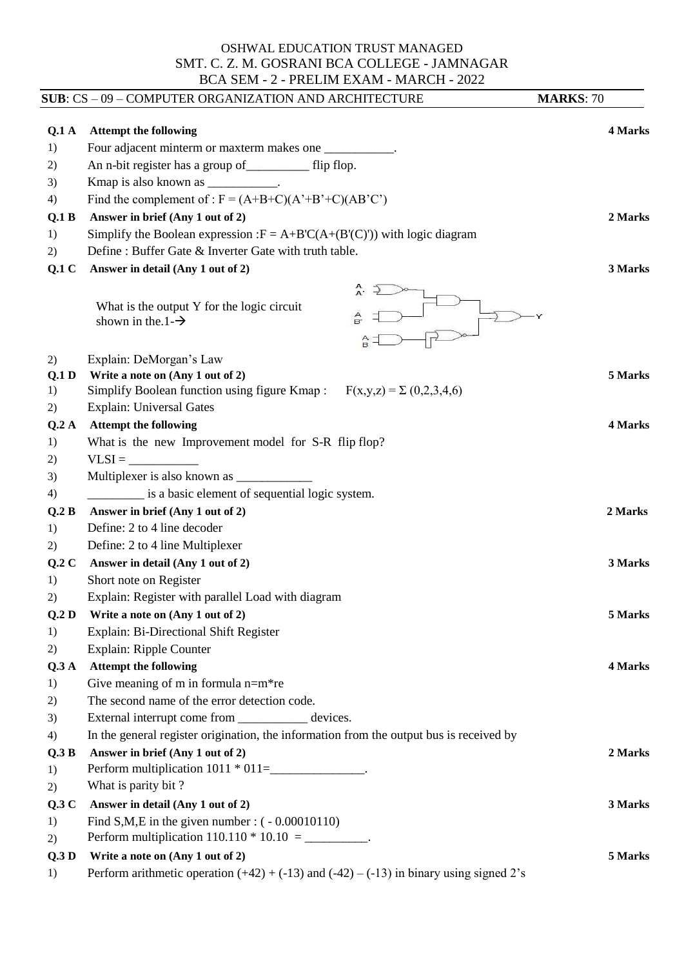## OSHWAL EDUCATION TRUST MANAGED SMT. C. Z. M. GOSRANI BCA COLLEGE - JAMNAGAR BCA SEM - 2 - PRELIM EXAM - MARCH - 2022

|                  | SUB: CS - 09 - COMPUTER ORGANIZATION AND ARCHITECTURE                                             | <b>MARKS: 70</b> |
|------------------|---------------------------------------------------------------------------------------------------|------------------|
| Q.1A             | <b>Attempt the following</b>                                                                      | 4 Marks          |
| 1)               | Four adjacent minterm or maxterm makes one ___________.                                           |                  |
| 2)               | An n-bit register has a group of filip flop.                                                      |                  |
| 3)               | Kmap is also known as ____________.                                                               |                  |
| 4)               | Find the complement of : $F = (A+B+C)(A^*+B^*+C)(AB^*C^*)$                                        |                  |
| Q.1 B            | Answer in brief (Any 1 out of 2)                                                                  | 2 Marks          |
| 1)               | Simplify the Boolean expression : $F = A + B'C(A+(B'(C)))$ with logic diagram                     |                  |
| 2)               | Define: Buffer Gate & Inverter Gate with truth table.                                             |                  |
| Q.1C             | Answer in detail (Any 1 out of 2)                                                                 | 3 Marks          |
|                  | A.<br>What is the output Y for the logic circuit<br>$\frac{A}{B}$<br>shown in the $1-\rightarrow$ |                  |
| 2)               | Explain: DeMorgan's Law                                                                           |                  |
| Q.1 <sub>D</sub> | Write a note on (Any 1 out of 2)                                                                  | 5 Marks          |
| 1)               | Simplify Boolean function using figure Kmap : $F(x,y,z) = \sum (0,2,3,4,6)$                       |                  |
| 2)               | Explain: Universal Gates                                                                          |                  |
| Q.2A             | <b>Attempt the following</b>                                                                      | 4 Marks          |
| 1)               | What is the new Improvement model for S-R flip flop?                                              |                  |
| 2)               | $VLSI =$                                                                                          |                  |
| 3)               |                                                                                                   |                  |
| 4)               | is a basic element of sequential logic system.                                                    |                  |
| Q.2 B            | Answer in brief (Any 1 out of 2)                                                                  | 2 Marks          |
| 1)               | Define: 2 to 4 line decoder                                                                       |                  |
| 2)               | Define: 2 to 4 line Multiplexer                                                                   |                  |
| Q.2C             | Answer in detail (Any 1 out of 2)                                                                 | 3 Marks          |
| 1)               | Short note on Register                                                                            |                  |
| 2)               | Explain: Register with parallel Load with diagram                                                 |                  |
| Q.2D<br>1)       | Write a note on (Any 1 out of 2)<br>Explain: Bi-Directional Shift Register                        | 5 Marks          |
| 2)               | Explain: Ripple Counter                                                                           |                  |
| Q.3A             | <b>Attempt the following</b>                                                                      | 4 Marks          |
| 1)               | Give meaning of $m$ in formula $n=m*re$                                                           |                  |
| 2)               | The second name of the error detection code.                                                      |                  |
| 3)               | External interrupt come from ______________ devices.                                              |                  |
| 4)               | In the general register origination, the information from the output bus is received by           |                  |
| Q.3 B            | Answer in brief (Any 1 out of 2)                                                                  | 2 Marks          |
| 1)               | Perform multiplication $1011 * 011 =$ _________________.                                          |                  |
| 2)               | What is parity bit?                                                                               |                  |
| Q.3C             | Answer in detail (Any 1 out of 2)                                                                 | 3 Marks          |
| 1)               | Find S,M,E in the given number : $(-0.00010110)$                                                  |                  |
| 2)               | Perform multiplication $110.110 * 10.10 =$ ___________.                                           |                  |
| Q.3D             | Write a note on (Any 1 out of 2)                                                                  | 5 Marks          |
| 1)               | Perform arithmetic operation $(+42) + (-13)$ and $(-42) - (-13)$ in binary using signed 2's       |                  |